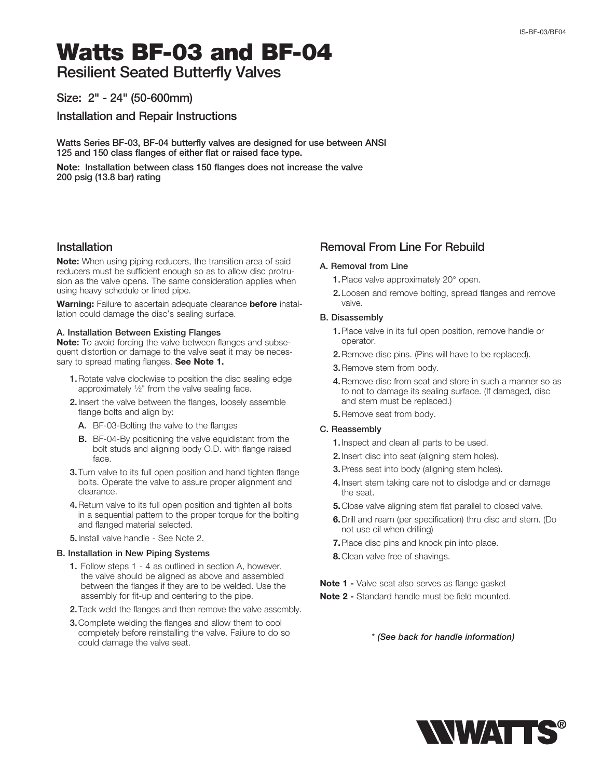# Watts BF-03 and BF-04

Resilient Seated Butterfly Valves

# Size: 2" - 24" (50-600mm)

Installation and Repair Instructions

Watts Series BF-03, BF-04 butterfly valves are designed for use between ANSI 125 and 150 class flanges of either flat or raised face type.

Note: Installation between class 150 flanges does not increase the valve 200 psig (13.8 bar) rating

## Installation

**Note:** When using piping reducers, the transition area of said reducers must be sufficient enough so as to allow disc protrusion as the valve opens. The same consideration applies when using heavy schedule or lined pipe.

Warning: Failure to ascertain adequate clearance before installation could damage the disc's sealing surface.

## A. Installation Between Existing Flanges

**Note:** To avoid forcing the valve between flanges and subsequent distortion or damage to the valve seat it may be necessary to spread mating flanges. See Note 1.

- 1. Rotate valve clockwise to position the disc sealing edge approximately 1/2" from the valve sealing face.
- 2. Insert the valve between the flanges, loosely assemble flange bolts and align by:
	- A. BF-03-Bolting the valve to the flanges
	- **B.** BF-04-By positioning the valve equidistant from the bolt studs and aligning body O.D. with flange raised face.
- 3. Turn valve to its full open position and hand tighten flange bolts. Operate the valve to assure proper alignment and clearance.
- 4. Return valve to its full open position and tighten all bolts in a sequential pattern to the proper torque for the bolting and flanged material selected.
- 5.Install valve handle See Note 2.

#### B. Installation in New Piping Systems

- 1. Follow steps 1 4 as outlined in section A, however, the valve should be aligned as above and assembled between the flanges if they are to be welded. Use the assembly for fit-up and centering to the pipe.
- 2. Tack weld the flanges and then remove the valve assembly.
- 3. Complete welding the flanges and allow them to cool completely before reinstalling the valve. Failure to do so could damage the valve seat.

## Removal From Line For Rebuild

#### A. Removal from Line

- 1. Place valve approximately 20° open.
- 2. Loosen and remove bolting, spread flanges and remove valve.

## B. Disassembly

- 1. Place valve in its full open position, remove handle or operator.
- 2.Remove disc pins. (Pins will have to be replaced).
- 3.Remove stem from body.
- 4. Remove disc from seat and store in such a manner so as to not to damage its sealing surface. (If damaged, disc and stem must be replaced.)
- 5.Remove seat from body.

## C. Reassembly

- 1.Inspect and clean all parts to be used.
- 2.Insert disc into seat (aligning stem holes).
- 3.Press seat into body (aligning stem holes).
- 4. Insert stem taking care not to dislodge and or damage the seat.
- 5.Close valve aligning stem flat parallel to closed valve.
- 6. Drill and ream (per specification) thru disc and stem. (Do not use oil when drilling)
- **7.** Place disc pins and knock pin into place.
- 8. Clean valve free of shavings.

Note 1 - Valve seat also serves as flange gasket

Note 2 - Standard handle must be field mounted.

*\* (See back for handle information)*